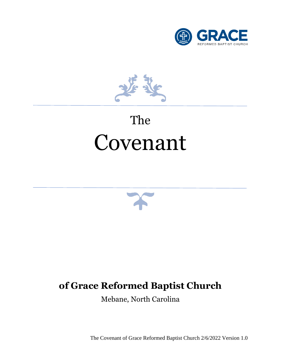

 $\epsilon$ 

## The Covenant



## **of Grace Reformed Baptist Church**

Mebane, North Carolina

The Covenant of Grace Reformed Baptist Church 2/6/2022 Version 1.0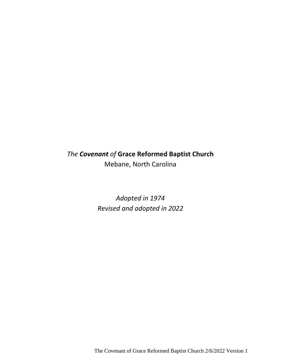## *The Covenant of* **Grace Reformed Baptist Church** Mebane, North Carolina

*Adopted in 1974 Revised and adopted in 2022*

The Covenant of Grace Reformed Baptist Church 2/6/2022 Version 1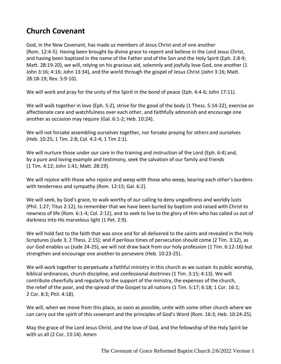## <span id="page-3-0"></span>**Church Covenant**

God, in the New Covenant, has made us members of Jesus Christ and of one another (Rom. 12:4-5). Having been brought by divine grace to repent and believe in the Lord Jesus Christ, and having been baptized in the name of the Father and of the Son and the Holy Spirit (Eph. 2:8-9; Matt. 28:19-20), we will, relying on his gracious aid, solemnly and joyfully love God, one another (1 John 3:16; 4:16; John 13:34), and the world through the gospel of Jesus Christ (John 3:16; Matt. 28:18-19; Rev. 5:9-10).

We will work and pray for the unity of the Spirit in the bond of peace (Eph. 4:4-6; John 17:11).

We will walk together in love (Eph. 5:2), strive for the good of the body (1 Thess. 5:14-22), exercise an affectionate care and watchfulness over each other, and faithfully admonish and encourage one another as occasion may require (Gal. 6:1-2; Heb. 10:24).

We will not forsake assembling ourselves together, nor forsake praying for others and ourselves (Heb. 10:25; 1 Tim. 2:8; Col. 4:2-4; 1 Tim 2:1).

We will nurture those under our care in the training and instruction of the Lord (Eph. 6:4) and, by a pure and loving example and testimony, seek the salvation of our family and friends (1 Tim. 4:12; John 1:41; Matt. 28:19).

We will rejoice with those who rejoice and weep with those who weep, bearing each other's burdens with tenderness and sympathy (Rom. 12:15; Gal. 6:2).

We will seek, by God's grace, to walk worthy of our calling to deny ungodliness and worldly lusts (Phil. 1:27; Titus 2:12), to remember that we have been buried by baptism and raised with Christ to newness of life (Rom. 6:1-4; Col. 2:12), and to seek to live to the glory of Him who has called us out of darkness into His marvelous light (1 Pet. 2:9).

We will hold fast to the faith that was once and for all delivered to the saints and revealed in the Holy Scriptures (Jude 3; 2 Thess. 2:15); and if perilous times of persecution should come (2 Tim. 3:12), as our God enables us (Jude 24-25), we will not draw back from our holy profession (1 Tim. 6:12-16) but strengthen and encourage one another to persevere (Heb. 10:23-25).

We will work together to perpetuate a faithful ministry in this church as we sustain its public worship, biblical ordinances, church discipline, and confessional doctrines (1 Tim. 3:15; 4:13). We will contribute cheerfully and regularly to the support of the ministry, the expenses of the church, the relief of the poor, and the spread of the Gospel to all nations (1 Tim. 5:17; 6:18; 1 Cor. 16:1; 2 Cor. 8:3; Phil. 4:18).

We will, when we move from this place, as soon as possible, unite with some other church where we can carry out the spirit of this covenant and the principles of God's Word (Rom. 16:3; Heb. 10:24-25).

May the grace of the Lord Jesus Christ, and the love of God, and the fellowship of the Holy Spirit be with us all (2 Cor. 13:14). Amen